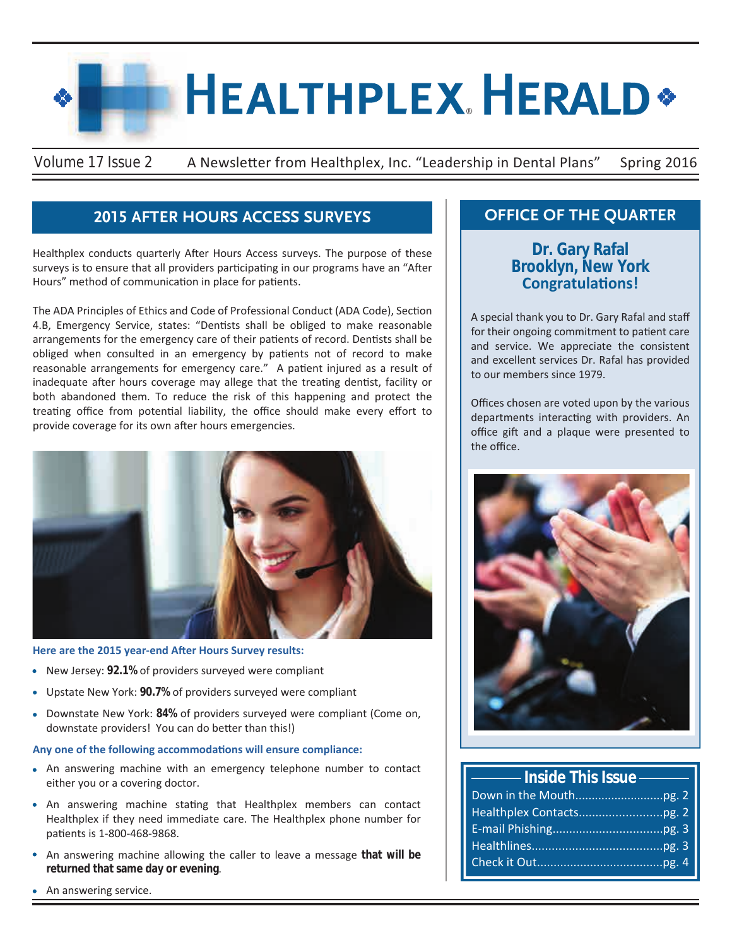# **HEALTHPLEX HERALD\***

Volume 17 Issue 2 A Newsletter from Healthplex, Inc. "Leadership in Dental Plans" Spring 2016

# **2015 AFTER HOURS ACCESS SURVEYS**

Healthplex conducts quarterly After Hours Access surveys. The purpose of these surveys is to ensure that all providers participating in our programs have an "After Hours" method of communication in place for patients.

The ADA Principles of Ethics and Code of Professional Conduct (ADA Code), Section 4.B, Emergency Service, states: "Dentists shall be obliged to make reasonable arrangements for the emergency care of their patients of record. Dentists shall be obliged when consulted in an emergency by patients not of record to make reasonable arrangements for emergency care." A patient injured as a result of inadequate after hours coverage may allege that the treating dentist, facility or both abandoned them. To reduce the risk of this happening and protect the treating office from potential liability, the office should make every effort to provide coverage for its own after hours emergencies.



## **Here are the 2015 year-end After Hours Survey results:**

- New Jersey: **92.1%** of providers surveyed were compliant
- Upstate New York: **90.7%** of providers surveyed were compliant
- Downstate New York: **84%** of providers surveyed were compliant (Come on, downstate providers! You can do better than this!)

### **Any one of the following accommodations will ensure compliance:**

- An answering machine with an emergency telephone number to contact either you or a covering doctor.
- An answering machine stating that Healthplex members can contact Healthplex if they need immediate care. The Healthplex phone number for patients is 1-800-468-9868.
- An answering machine allowing the caller to leave a message **that will be returned that same day or evening**.

# **OFFICE OF THE QUARTER**

**Dr. Gary Rafal Brooklyn, New York Congratulations!**

A special thank you to Dr. Gary Rafal and staff for their ongoing commitment to patient care and service. We appreciate the consistent and excellent services Dr. Rafal has provided to our members since 1979.

Offices chosen are voted upon by the various departments interacting with providers. An office gift and a plaque were presented to the office.



| <b>Example 2 Inside This Issue</b> |  |  |  |
|------------------------------------|--|--|--|
|                                    |  |  |  |
|                                    |  |  |  |
|                                    |  |  |  |
|                                    |  |  |  |
|                                    |  |  |  |

An answering service.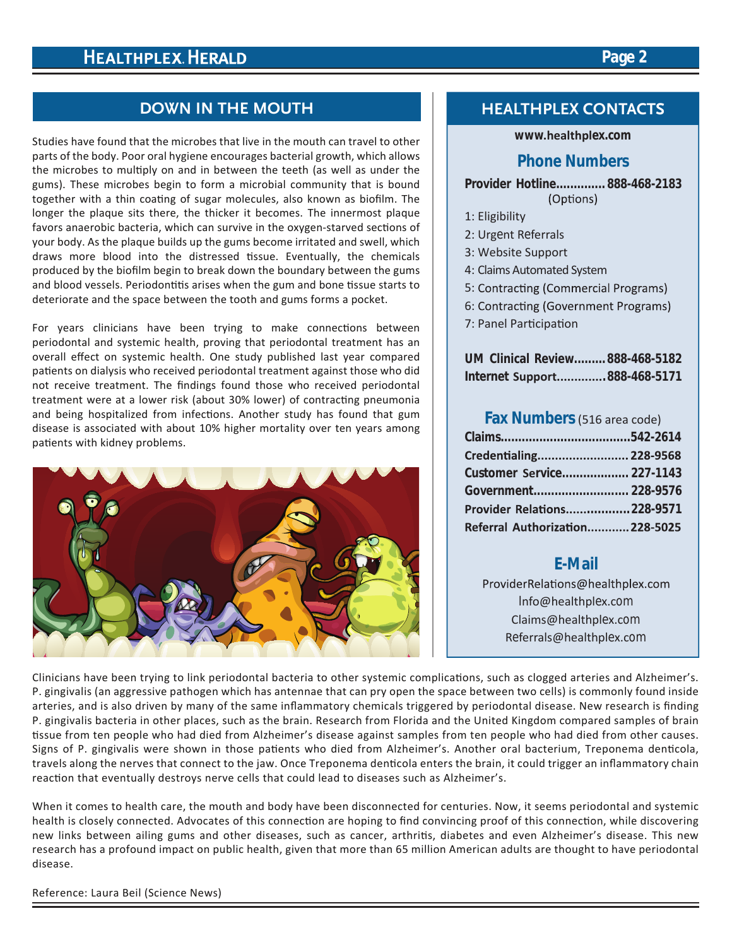# **Page 2**

# **DOWN IN THE MOUTH**

Studies have found that the microbes that live in the mouth can travel to other parts of the body. Poor oral hygiene encourages bacterial growth, which allows the microbes to multiply on and in between the teeth (as well as under the gums). These microbes begin to form a microbial community that is bound together with a thin coating of sugar molecules, also known as biofilm. The longer the plaque sits there, the thicker it becomes. The innermost plaque favors anaerobic bacteria, which can survive in the oxygen-starved sections of your body. As the plaque builds up the gums become irritated and swell, which draws more blood into the distressed tissue. Eventually, the chemicals produced by the biofilm begin to break down the boundary between the gums and blood vessels. Periodontitis arises when the gum and bone tissue starts to deteriorate and the space between the tooth and gums forms a pocket.

For years clinicians have been trying to make connections between periodontal and systemic health, proving that periodontal treatment has an overall effect on systemic health. One study published last year compared patients on dialysis who received periodontal treatment against those who did not receive treatment. The findings found those who received periodontal treatment were at a lower risk (about 30% lower) of contracting pneumonia and being hospitalized from infections. Another study has found that gum disease is associated with about 10% higher mortality over ten years among patients with kidney problems.



## **HEALTHPLEX CONTACTS**

## **www.healthplex.com**

## **Phone Numbers**

**Provider Hotline.............. 888-468-2183** (Options)

- 1: Eligibility
- 2: Urgent Referrals
- 3: Website Support
- 4: Claims Automated System
- 5: Contracting (Commercial Programs)
- 6: Contracting (Government Programs)
- 7: Panel Participation

|  | UM Clinical Review888-468-5182 |
|--|--------------------------------|
|  | Internet Support888-468-5171   |

## **Fax Numbers**(516 area code)

| Credentialing 228-9568          |  |
|---------------------------------|--|
| Customer Service 227-1143       |  |
|                                 |  |
| Provider Relations228-9571      |  |
| Referral Authorization 228-5025 |  |

# **E-Mail**

ProviderRelations@healthplex.com Info@healthplex.com Claims@healthplex.com Referrals@healthplex.com

Clinicians have been trying to link periodontal bacteria to other systemic complications, such as clogged arteries and Alzheimer's. P. gingivalis (an aggressive pathogen which has antennae that can pry open the space between two cells) is commonly found inside arteries, and is also driven by many of the same inflammatory chemicals triggered by periodontal disease. New research is finding P. gingivalis bacteria in other places, such as the brain. Research from Florida and the United Kingdom compared samples of brain tissue from ten people who had died from Alzheimer's disease against samples from ten people who had died from other causes. Signs of P. gingivalis were shown in those patients who died from Alzheimer's. Another oral bacterium, Treponema denticola, travels along the nerves that connect to the jaw. Once Treponema denticola enters the brain, it could trigger an inflammatory chain reaction that eventually destroys nerve cells that could lead to diseases such as Alzheimer's.

When it comes to health care, the mouth and body have been disconnected for centuries. Now, it seems periodontal and systemic health is closely connected. Advocates of this connection are hoping to find convincing proof of this connection, while discovering new links between ailing gums and other diseases, such as cancer, arthritis, diabetes and even Alzheimer's disease. This new research has a profound impact on public health, given that more than 65 million American adults are thought to have periodontal disease.

Reference: Laura Beil (Science News)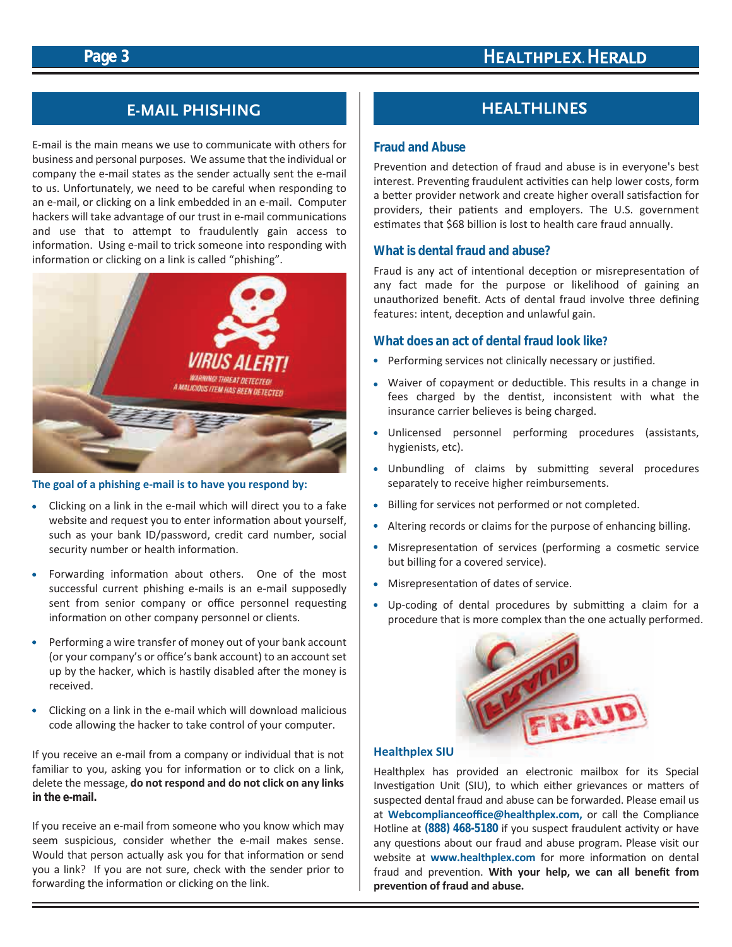# **HEALTHPLEX HERALD**

# **Page 3**

# **E-MAIL PHISHING**

E-mail is the main means we use to communicate with others for business and personal purposes. We assume that the individual or company the e-mail states as the sender actually sent the e-mail to us. Unfortunately, we need to be careful when responding to an e-mail, or clicking on a link embedded in an e-mail. Computer hackers will take advantage of our trust in e-mail communications and use that to attempt to fraudulently gain access to information. Using e-mail to trick someone into responding with information or clicking on a link is called "phishing".



### **The goal of a phishing e-mail is to have you respond by:**

- Clicking on a link in the e-mail which will direct you to a fake website and request you to enter information about yourself, such as your bank ID/password, credit card number, social security number or health information.
- Forwarding information about others. One of the most successful current phishing e-mails is an e-mail supposedly sent from senior company or office personnel requesting information on other company personnel or clients.
- Performing a wire transfer of money out of your bank account (or your company's or office's bank account) to an account set up by the hacker, which is hastily disabled after the money is received.
- Clicking on a link in the e-mail which will download malicious code allowing the hacker to take control of your computer.

If you receive an e-mail from a company or individual that is not familiar to you, asking you for information or to click on a link, delete the message, **do not respond and do not click on any links in the e-mail.**

If you receive an e-mail from someone who you know which may seem suspicious, consider whether the e-mail makes sense. Would that person actually ask you for that information or send you a link? If you are not sure, check with the sender prior to forwarding the information or clicking on the link.

# **HEALTHLINES**

## **Fraud and Abuse**

Prevention and detection of fraud and abuse is in everyone's best interest. Preventing fraudulent activities can help lower costs, form a better provider network and create higher overall satisfaction for providers, their patients and employers. The U.S. government estimates that \$68 billion is lost to health care fraud annually.

## **What is dental fraud and abuse?**

Fraud is any act of intentional deception or misrepresentation of any fact made for the purpose or likelihood of gaining an unauthorized benefit. Acts of dental fraud involve three defining features: intent, deception and unlawful gain.

## **What does an act of dental fraud look like?**

- Performing services not clinically necessary or justified.
- Waiver of copayment or deductible. This results in a change in fees charged by the dentist, inconsistent with what the insurance carrier believes is being charged.
- Unlicensed personnel performing procedures (assistants, hygienists, etc).
- Unbundling of claims by submitting several procedures separately to receive higher reimbursements.
- Billing for services not performed or not completed.
- Altering records or claims for the purpose of enhancing billing.
- Misrepresentation of services (performing a cosmetic service but billing for a covered service).
- Misrepresentation of dates of service.
- Up-coding of dental procedures by submitting a claim for a procedure that is more complex than the one actually performed.



## **Healthplex SIU**

Healthplex has provided an electronic mailbox for its Special Investigation Unit (SIU), to which either grievances or matters of suspected dental fraud and abuse can be forwarded. Please email us at **Webcomplianceoffice@healthplex.com,** or call the Compliance Hotline at **(888) 468-5180** if you suspect fraudulent activity or have any questions about our fraud and abuse program. Please visit our website at **www.healthplex.com** for more information on dental fraud and prevention. **With your help, we can all benefit from prevention of fraud and abuse.**